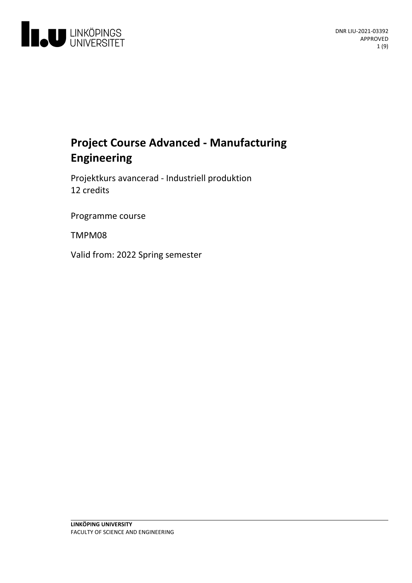

# **Project Course Advanced - Manufacturing Engineering**

Projektkurs avancerad - Industriell produktion 12 credits

Programme course

TMPM08

Valid from: 2022 Spring semester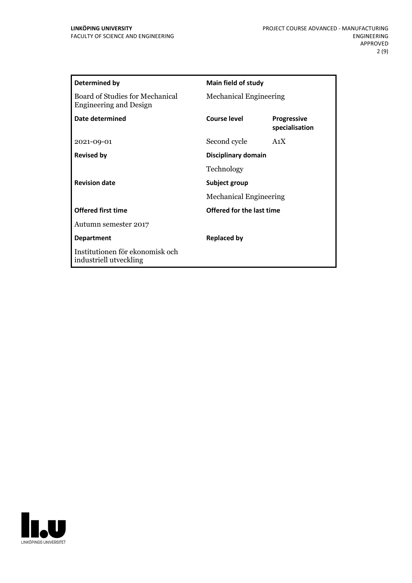| <b>Determined by</b>                                                    | <b>Main field of study</b>       |                                      |
|-------------------------------------------------------------------------|----------------------------------|--------------------------------------|
| <b>Board of Studies for Mechanical</b><br><b>Engineering and Design</b> | <b>Mechanical Engineering</b>    |                                      |
| Date determined                                                         | Course level                     | <b>Progressive</b><br>specialisation |
| 2021-09-01                                                              | Second cycle                     | A <sub>1</sub> X                     |
| <b>Revised by</b>                                                       | Disciplinary domain              |                                      |
|                                                                         | Technology                       |                                      |
| <b>Revision date</b>                                                    | Subject group                    |                                      |
|                                                                         | <b>Mechanical Engineering</b>    |                                      |
| <b>Offered first time</b>                                               | <b>Offered for the last time</b> |                                      |
| Autumn semester 2017                                                    |                                  |                                      |
| <b>Department</b>                                                       | <b>Replaced by</b>               |                                      |
| Institutionen för ekonomisk och<br>industriell utveckling               |                                  |                                      |

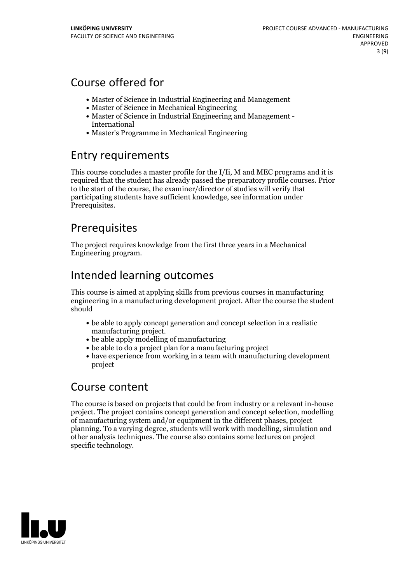# Course offered for

- Master of Science in Industrial Engineering and Management
- Master of Science in Mechanical Engineering
- Master of Science in Industrial Engineering and Management International
- Master's Programme in Mechanical Engineering

## Entry requirements

This course concludes a master profile for the I/Ii, M and MEC programs and it is required that the student has already passed the preparatory profile courses. Prior to the start of the course, the examiner/director of studies will verify that participating students have sufficient knowledge, see information under Prerequisites.

# Prerequisites

The project requires knowledge from the first three years in a Mechanical Engineering program.

# Intended learning outcomes

This course is aimed at applying skills from previous courses in manufacturing engineering in a manufacturing development project. After the course the student should

- be able to apply concept generation and concept selection in a realistic
- $\bullet$  be able apply modelling of manufacturing
- be able to do a project plan for a manufacturing project
- have experience from working in a team with manufacturing development project

## Course content

The course is based on projects that could be from industry or a relevant in-house project. The project contains concept generation and concept selection, modelling of manufacturing system and/or equipment in the different phases, project planning. To a varying degree, students will work with modelling, simulation and other analysis techniques. The course also contains some lectures on project specific technology.

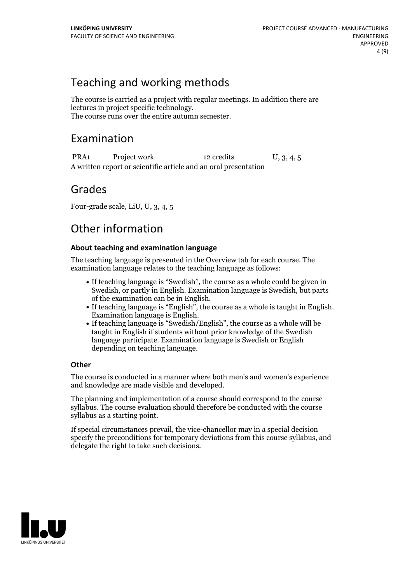## Teaching and working methods

The course is carried as a project with regular meetings. In addition there are lectures in project specific technology. The course runs over the entire autumn semester.

## Examination

PRA1 Project work 12 credits U, 3, 4, 5 A written report or scientific article and an oral presentation

## Grades

Four-grade scale, LiU, U, 3, 4, 5

# Other information

## **About teaching and examination language**

The teaching language is presented in the Overview tab for each course. The examination language relates to the teaching language as follows:

- If teaching language is "Swedish", the course as a whole could be given in Swedish, or partly in English. Examination language is Swedish, but parts
- of the examination can be in English. If teaching language is "English", the course as <sup>a</sup> whole is taught in English. Examination language is English. If teaching language is "Swedish/English", the course as <sup>a</sup> whole will be
- taught in English if students without prior knowledge of the Swedish language participate. Examination language is Swedish or English depending on teaching language.

### **Other**

The course is conducted in a manner where both men's and women's experience and knowledge are made visible and developed.

The planning and implementation of a course should correspond to the course syllabus. The course evaluation should therefore be conducted with the course syllabus as a starting point.

If special circumstances prevail, the vice-chancellor may in a special decision specify the preconditions for temporary deviations from this course syllabus, and delegate the right to take such decisions.

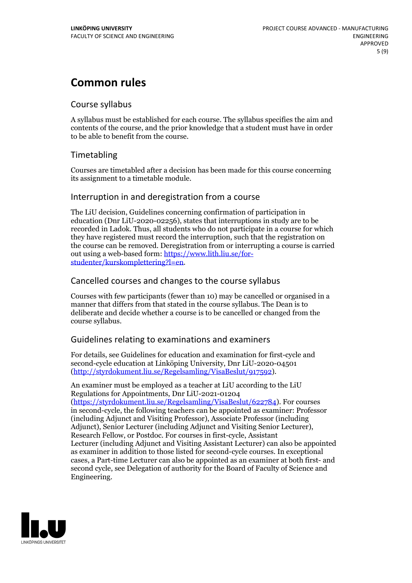# **Common rules**

### Course syllabus

A syllabus must be established for each course. The syllabus specifies the aim and contents of the course, and the prior knowledge that a student must have in order to be able to benefit from the course.

## Timetabling

Courses are timetabled after a decision has been made for this course concerning its assignment to a timetable module.

## Interruption in and deregistration from a course

The LiU decision, Guidelines concerning confirmation of participation in education (Dnr LiU-2020-02256), states that interruptions in study are to be recorded in Ladok. Thus, all students who do not participate in a course for which they have registered must record the interruption, such that the registration on the course can be removed. Deregistration from or interrupting a course is carried out using <sup>a</sup> web-based form: https://www.lith.liu.se/for- [studenter/kurskomplettering?l=en.](https://www.lith.liu.se/for-studenter/kurskomplettering?l=en)

## Cancelled coursesand changes to the course syllabus

Courses with few participants (fewer than 10) may be cancelled or organised in a manner that differs from that stated in the course syllabus. The Dean is to deliberate and decide whether a course is to be cancelled or changed from the course syllabus.

## Guidelines relating to examinations and examiners

For details, see Guidelines for education and examination for first-cycle and second-cycle education at Linköping University, Dnr LiU-2020-04501 [\(http://styrdokument.liu.se/Regelsamling/VisaBeslut/917592\)](http://styrdokument.liu.se/Regelsamling/VisaBeslut/917592).

An examiner must be employed as a teacher at LiU according to the LiU Regulations for Appointments, Dnr LiU-2021-01204 [\(https://styrdokument.liu.se/Regelsamling/VisaBeslut/622784](https://styrdokument.liu.se/Regelsamling/VisaBeslut/622784)). For courses in second-cycle, the following teachers can be appointed as examiner: Professor (including Adjunct and Visiting Professor), Associate Professor (including Adjunct), Senior Lecturer (including Adjunct and Visiting Senior Lecturer), Research Fellow, or Postdoc. For courses in first-cycle, Assistant Lecturer (including Adjunct and Visiting Assistant Lecturer) can also be appointed as examiner in addition to those listed for second-cycle courses. In exceptional cases, a Part-time Lecturer can also be appointed as an examiner at both first- and second cycle, see Delegation of authority for the Board of Faculty of Science and Engineering.

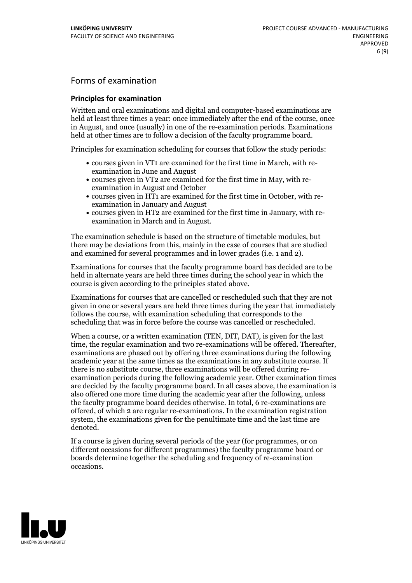## Forms of examination

#### **Principles for examination**

Written and oral examinations and digital and computer-based examinations are held at least three times a year: once immediately after the end of the course, once in August, and once (usually) in one of the re-examination periods. Examinations held at other times are to follow a decision of the faculty programme board.

Principles for examination scheduling for courses that follow the study periods:

- courses given in VT1 are examined for the first time in March, with re-examination in June and August
- courses given in VT2 are examined for the first time in May, with re-examination in August and October
- courses given in HT1 are examined for the first time in October, with re-examination in January and August
- courses given in HT2 are examined for the first time in January, with re-examination in March and in August.

The examination schedule is based on the structure of timetable modules, but there may be deviations from this, mainly in the case of courses that are studied and examined for several programmes and in lower grades (i.e. 1 and 2).

Examinations for courses that the faculty programme board has decided are to be held in alternate years are held three times during the school year in which the course is given according to the principles stated above.

Examinations for courses that are cancelled orrescheduled such that they are not given in one or several years are held three times during the year that immediately follows the course, with examination scheduling that corresponds to the scheduling that was in force before the course was cancelled or rescheduled.

When a course, or a written examination (TEN, DIT, DAT), is given for the last time, the regular examination and two re-examinations will be offered. Thereafter, examinations are phased out by offering three examinations during the following academic year at the same times as the examinations in any substitute course. If there is no substitute course, three examinations will be offered during re- examination periods during the following academic year. Other examination times are decided by the faculty programme board. In all cases above, the examination is also offered one more time during the academic year after the following, unless the faculty programme board decides otherwise. In total, 6 re-examinations are offered, of which 2 are regular re-examinations. In the examination registration system, the examinations given for the penultimate time and the last time are denoted.

If a course is given during several periods of the year (for programmes, or on different occasions for different programmes) the faculty programme board or boards determine together the scheduling and frequency of re-examination occasions.

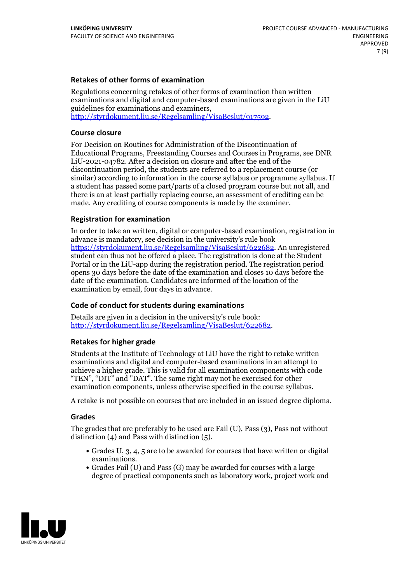### **Retakes of other forms of examination**

Regulations concerning retakes of other forms of examination than written examinations and digital and computer-based examinations are given in the LiU guidelines for examinations and examiners, [http://styrdokument.liu.se/Regelsamling/VisaBeslut/917592.](http://styrdokument.liu.se/Regelsamling/VisaBeslut/917592)

#### **Course closure**

For Decision on Routines for Administration of the Discontinuation of Educational Programs, Freestanding Courses and Courses in Programs, see DNR LiU-2021-04782. After a decision on closure and after the end of the discontinuation period, the students are referred to a replacement course (or similar) according to information in the course syllabus or programme syllabus. If a student has passed some part/parts of a closed program course but not all, and there is an at least partially replacing course, an assessment of crediting can be made. Any crediting of course components is made by the examiner.

#### **Registration for examination**

In order to take an written, digital or computer-based examination, registration in advance is mandatory, see decision in the university's rule book [https://styrdokument.liu.se/Regelsamling/VisaBeslut/622682.](https://styrdokument.liu.se/Regelsamling/VisaBeslut/622682) An unregistered student can thus not be offered a place. The registration is done at the Student Portal or in the LiU-app during the registration period. The registration period opens 30 days before the date of the examination and closes 10 days before the date of the examination. Candidates are informed of the location of the examination by email, four days in advance.

### **Code of conduct for students during examinations**

Details are given in a decision in the university's rule book: <http://styrdokument.liu.se/Regelsamling/VisaBeslut/622682>.

#### **Retakes for higher grade**

Students at the Institute of Technology at LiU have the right to retake written examinations and digital and computer-based examinations in an attempt to achieve a higher grade. This is valid for all examination components with code "TEN", "DIT" and "DAT". The same right may not be exercised for other examination components, unless otherwise specified in the course syllabus.

A retake is not possible on courses that are included in an issued degree diploma.

#### **Grades**

The grades that are preferably to be used are Fail (U), Pass (3), Pass not without distinction  $(4)$  and Pass with distinction  $(5)$ .

- Grades U, 3, 4, 5 are to be awarded for courses that have written or digital examinations.<br>• Grades Fail (U) and Pass (G) may be awarded for courses with a large
- degree of practical components such as laboratory work, project work and

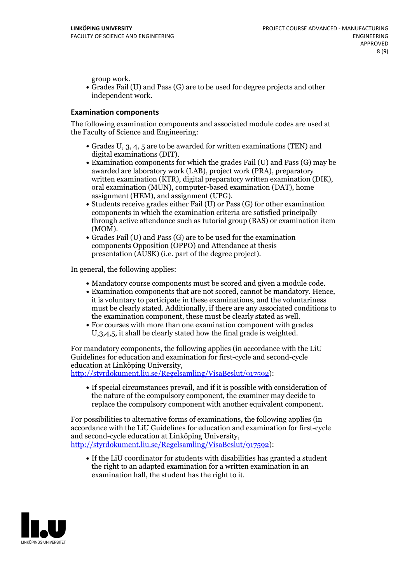group work.<br>• Grades Fail (U) and Pass (G) are to be used for degree projects and other independent work.

#### **Examination components**

The following examination components and associated module codes are used at the Faculty of Science and Engineering:

- Grades U, 3, 4, 5 are to be awarded for written examinations (TEN) and
- digital examinations (DIT).<br>• Examination components for which the grades Fail (U) and Pass (G) may be awarded are laboratory work (LAB), project work (PRA), preparatory written examination (KTR), digital preparatory written examination (DIK), oral examination (MUN), computer-based examination (DAT), home
- assignment (HEM), and assignment (UPG).<br>• Students receive grades either Fail (U) or Pass (G) for other examination components in which the examination criteria are satisfied principally through active attendance such as tutorial group (BAS) or examination item (MOM).<br>• Grades Fail (U) and Pass (G) are to be used for the examination
- components Opposition (OPPO) and Attendance at thesis presentation (AUSK) (i.e. part of the degree project).

In general, the following applies:

- 
- Mandatory course components must be scored and given <sup>a</sup> module code. Examination components that are not scored, cannot be mandatory. Hence, it is voluntary to participate in these examinations, and the voluntariness must be clearly stated. Additionally, if there are any associated conditions to
- the examination component, these must be clearly stated as well.<br>• For courses with more than one examination component with grades U,3,4,5, it shall be clearly stated how the final grade is weighted.

For mandatory components, the following applies (in accordance with the LiU Guidelines for education and examination for first-cycle and second-cycle education at Linköping University,<br>[http://styrdokument.liu.se/Regelsamling/VisaBeslut/917592\)](http://styrdokument.liu.se/Regelsamling/VisaBeslut/917592):

If special circumstances prevail, and if it is possible with consideration of the nature of the compulsory component, the examiner may decide to replace the compulsory component with another equivalent component.

For possibilities to alternative forms of examinations, the following applies (in accordance with the LiU Guidelines for education and examination for first-cycle [http://styrdokument.liu.se/Regelsamling/VisaBeslut/917592\)](http://styrdokument.liu.se/Regelsamling/VisaBeslut/917592):

If the LiU coordinator for students with disabilities has granted a student the right to an adapted examination for a written examination in an examination hall, the student has the right to it.